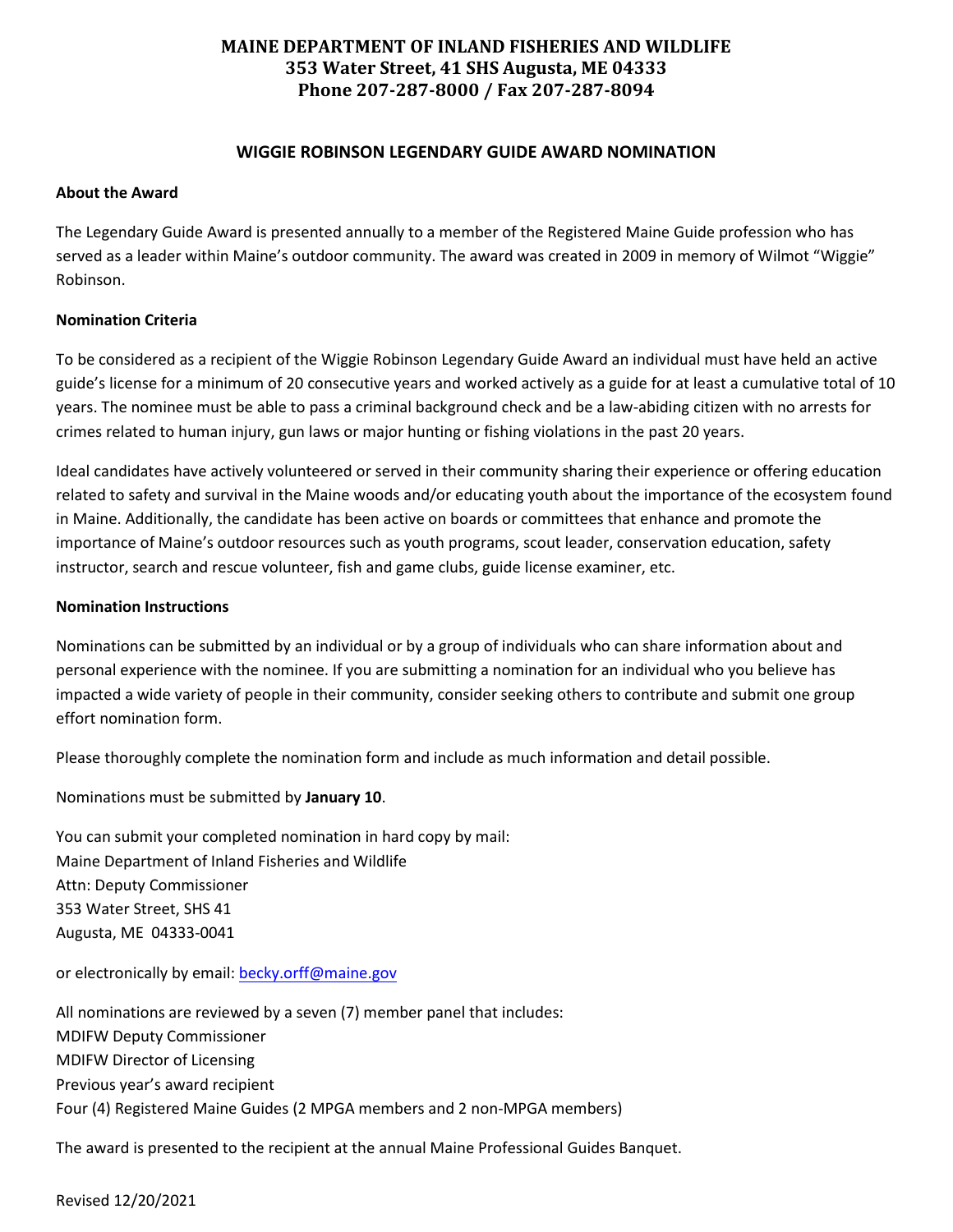## **MAINE DEPARTMENT OF INLAND FISHERIES AND WILDLIFE 353 Water Street, 41 SHS Augusta, ME 04333 Phone 207-287-8000 / Fax 207-287-8094**

## **WIGGIE ROBINSON LEGENDARY GUIDE AWARD NOMINATION**

#### **About the Award**

The Legendary Guide Award is presented annually to a member of the Registered Maine Guide profession who has served as a leader within Maine's outdoor community. The award was created in 2009 in memory of Wilmot "Wiggie" Robinson.

## **Nomination Criteria**

To be considered as a recipient of the Wiggie Robinson Legendary Guide Award an individual must have held an active guide's license for a minimum of 20 consecutive years and worked actively as a guide for at least a cumulative total of 10 years. The nominee must be able to pass a criminal background check and be a law-abiding citizen with no arrests for crimes related to human injury, gun laws or major hunting or fishing violations in the past 20 years.

Ideal candidates have actively volunteered or served in their community sharing their experience or offering education related to safety and survival in the Maine woods and/or educating youth about the importance of the ecosystem found in Maine. Additionally, the candidate has been active on boards or committees that enhance and promote the importance of Maine's outdoor resources such as youth programs, scout leader, conservation education, safety instructor, search and rescue volunteer, fish and game clubs, guide license examiner, etc.

#### **Nomination Instructions**

Nominations can be submitted by an individual or by a group of individuals who can share information about and personal experience with the nominee. If you are submitting a nomination for an individual who you believe has impacted a wide variety of people in their community, consider seeking others to contribute and submit one group effort nomination form.

Please thoroughly complete the nomination form and include as much information and detail possible.

Nominations must be submitted by **January 10**.

You can submit your completed nomination in hard copy by mail: Maine Department of Inland Fisheries and Wildlife Attn: Deputy Commissioner 353 Water Street, SHS 41 Augusta, ME 04333-0041

or electronically by email[: becky.orff@maine.gov](mailto:becky.orff@maine.gov)

All nominations are reviewed by a seven (7) member panel that includes: MDIFW Deputy Commissioner MDIFW Director of Licensing Previous year's award recipient Four (4) Registered Maine Guides (2 MPGA members and 2 non-MPGA members)

The award is presented to the recipient at the annual Maine Professional Guides Banquet.

Revised 12/20/2021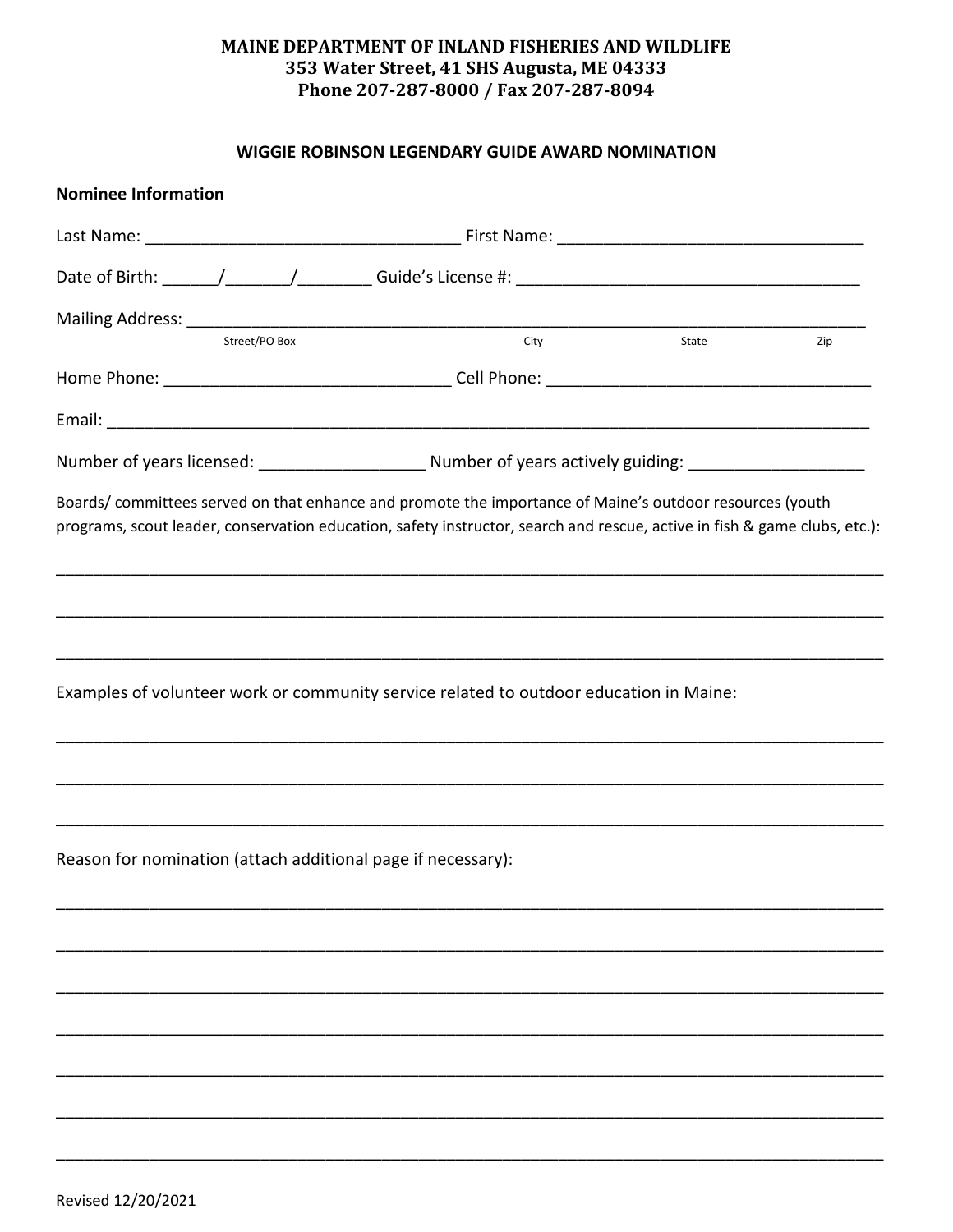# MAINE DEPARTMENT OF INLAND FISHERIES AND WILDLIFE 353 Water Street, 41 SHS Augusta, ME 04333 Phone 207-287-8000 / Fax 207-287-8094

## WIGGIE ROBINSON LEGENDARY GUIDE AWARD NOMINATION

| <b>Nominee Information</b>                                                                                                                                                                                                            |            |     |
|---------------------------------------------------------------------------------------------------------------------------------------------------------------------------------------------------------------------------------------|------------|-----|
|                                                                                                                                                                                                                                       |            |     |
|                                                                                                                                                                                                                                       |            |     |
|                                                                                                                                                                                                                                       |            |     |
| Street/PO Box                                                                                                                                                                                                                         | City State | Zip |
|                                                                                                                                                                                                                                       |            |     |
|                                                                                                                                                                                                                                       |            |     |
|                                                                                                                                                                                                                                       |            |     |
| Boards/ committees served on that enhance and promote the importance of Maine's outdoor resources (youth<br>programs, scout leader, conservation education, safety instructor, search and rescue, active in fish & game clubs, etc.): |            |     |
|                                                                                                                                                                                                                                       |            |     |
| Examples of volunteer work or community service related to outdoor education in Maine:                                                                                                                                                |            |     |
|                                                                                                                                                                                                                                       |            |     |
| Reason for nomination (attach additional page if necessary):                                                                                                                                                                          |            |     |
|                                                                                                                                                                                                                                       |            |     |
|                                                                                                                                                                                                                                       |            |     |
|                                                                                                                                                                                                                                       |            |     |
|                                                                                                                                                                                                                                       |            |     |
|                                                                                                                                                                                                                                       |            |     |
|                                                                                                                                                                                                                                       |            |     |